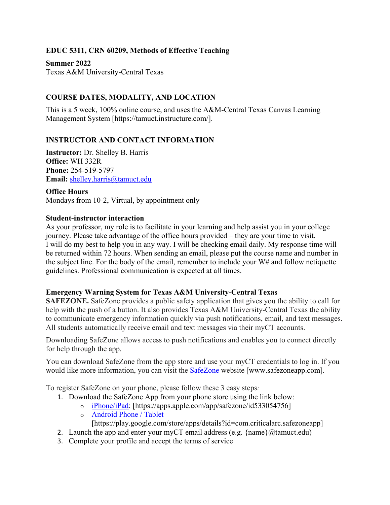# **EDUC 5311, CRN 60209, Methods of Effective Teaching**

**Summer 2022** Texas A&M University-Central Texas

# **COURSE DATES, MODALITY, AND LOCATION**

This is a 5 week, 100% online course, and uses the A&M-Central Texas Canvas Learning Management System [https://tamuct.instructure.com/].

## **INSTRUCTOR AND CONTACT INFORMATION**

**Instructor:** Dr. Shelley B. Harris **Office:** WH 332R **Phone:** 254-519-5797 **Email:** [shelley.harris@tamuct.edu](mailto:shelley.harris@tamuct.edu)

**Office Hours** Mondays from 10-2, Virtual, by appointment only

#### **Student-instructor interaction**

As your professor, my role is to facilitate in your learning and help assist you in your college journey. Please take advantage of the office hours provided – they are your time to visit. I will do my best to help you in any way. I will be checking email daily. My response time will be returned within 72 hours. When sending an email, please put the course name and number in the subject line. For the body of the email, remember to include your W# and follow netiquette guidelines. Professional communication is expected at all times.

## **Emergency Warning System for Texas A&M University-Central Texas**

**SAFEZONE.** SafeZone provides a public safety application that gives you the ability to call for help with the push of a button. It also provides Texas A&M University-Central Texas the ability to communicate emergency information quickly via push notifications, email, and text messages. All students automatically receive email and text messages via their myCT accounts.

Downloading SafeZone allows access to push notifications and enables you to connect directly for help through the app.

You can download SafeZone from the app store and use your myCT credentials to log in. If you would like more information, you can visit the [SafeZone](http://www.safezoneapp.com/) website [www.safezoneapp.com].

To register SafeZone on your phone, please follow these 3 easy steps*:*

- 1. Download the SafeZone App from your phone store using the link below:
	- o [iPhone/iPad:](https://apps.apple.com/app/safezone/id533054756) [https://apps.apple.com/app/safezone/id533054756]
	- o [Android Phone / Tablet](https://play.google.com/store/apps/details?id=com.criticalarc.safezoneapp)

[https://play.google.com/store/apps/details?id=com.criticalarc.safezoneapp]

- 2. Launch the app and enter your myCT email address (e.g.  $\{\text{name}\}\langle\omega\text{tamuct.edu}\rangle$ )
- 3. Complete your profile and accept the terms of service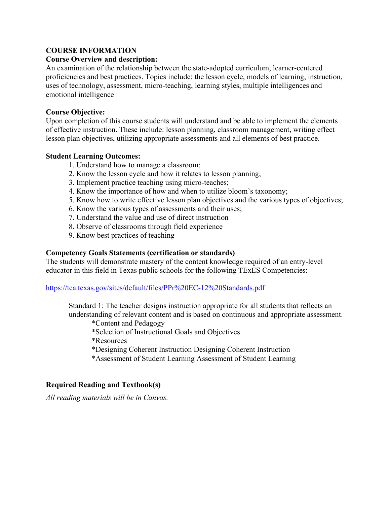#### **COURSE INFORMATION**

#### **Course Overview and description:**

An examination of the relationship between the state-adopted curriculum, learner-centered proficiencies and best practices. Topics include: the lesson cycle, models of learning, instruction, uses of technology, assessment, micro-teaching, learning styles, multiple intelligences and emotional intelligence

#### **Course Objective:**

Upon completion of this course students will understand and be able to implement the elements of effective instruction. These include: lesson planning, classroom management, writing effect lesson plan objectives, utilizing appropriate assessments and all elements of best practice.

#### **Student Learning Outcomes:**

- 1. Understand how to manage a classroom;
- 2. Know the lesson cycle and how it relates to lesson planning;
- 3. Implement practice teaching using micro-teaches;
- 4. Know the importance of how and when to utilize bloom's taxonomy;
- 5. Know how to write effective lesson plan objectives and the various types of objectives;
- 6. Know the various types of assessments and their uses;
- 7. Understand the value and use of direct instruction
- 8. Observe of classrooms through field experience
- 9. Know best practices of teaching

#### **Competency Goals Statements (certification or standards)**

The students will demonstrate mastery of the content knowledge required of an entry-level educator in this field in Texas public schools for the following TExES Competencies:

#### https://tea.texas.gov/sites/default/files/PPr%20EC-12%20Standards.pdf

Standard 1: The teacher designs instruction appropriate for all students that reflects an understanding of relevant content and is based on continuous and appropriate assessment.

\*Content and Pedagogy

\*Selection of Instructional Goals and Objectives

\*Resources

- \*Designing Coherent Instruction Designing Coherent Instruction
- \*Assessment of Student Learning Assessment of Student Learning

## **Required Reading and Textbook(s)**

*All reading materials will be in Canvas.*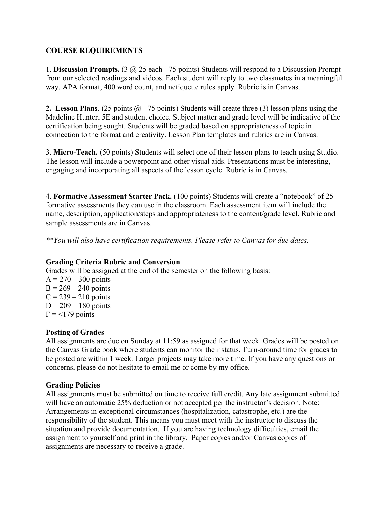## **COURSE REQUIREMENTS**

1. **Discussion Prompts.** (3 @ 25 each - 75 points) Students will respond to a Discussion Prompt from our selected readings and videos. Each student will reply to two classmates in a meaningful way. APA format, 400 word count, and netiquette rules apply. Rubric is in Canvas.

**2. Lesson Plans**. (25 points @ - 75 points) Students will create three (3) lesson plans using the Madeline Hunter, 5E and student choice. Subject matter and grade level will be indicative of the certification being sought. Students will be graded based on appropriateness of topic in connection to the format and creativity. Lesson Plan templates and rubrics are in Canvas.

3. **Micro-Teach.** (50 points) Students will select one of their lesson plans to teach using Studio. The lesson will include a powerpoint and other visual aids. Presentations must be interesting, engaging and incorporating all aspects of the lesson cycle. Rubric is in Canvas.

4. **Formative Assessment Starter Pack.** (100 points) Students will create a "notebook" of 25 formative assessments they can use in the classroom. Each assessment item will include the name, description, application/steps and appropriateness to the content/grade level. Rubric and sample assessments are in Canvas.

*\*\*You will also have certification requirements. Please refer to Canvas for due dates.*

#### **Grading Criteria Rubric and Conversion**

Grades will be assigned at the end of the semester on the following basis:  $A = 270 - 300$  points

 $B = 269 - 240$  points  $C = 239 - 210$  points  $D = 209 - 180$  points  $F = 179$  points

## **Posting of Grades**

All assignments are due on Sunday at 11:59 as assigned for that week. Grades will be posted on the Canvas Grade book where students can monitor their status. Turn-around time for grades to be posted are within 1 week. Larger projects may take more time. If you have any questions or concerns, please do not hesitate to email me or come by my office.

#### **Grading Policies**

All assignments must be submitted on time to receive full credit. Any late assignment submitted will have an automatic 25% deduction or not accepted per the instructor's decision. Note: Arrangements in exceptional circumstances (hospitalization, catastrophe, etc.) are the responsibility of the student. This means you must meet with the instructor to discuss the situation and provide documentation. If you are having technology difficulties, email the assignment to yourself and print in the library. Paper copies and/or Canvas copies of assignments are necessary to receive a grade.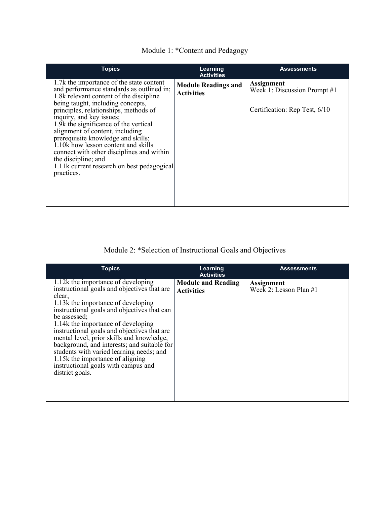|  |  |  |  | Module 1: *Content and Pedagogy |
|--|--|--|--|---------------------------------|
|--|--|--|--|---------------------------------|

| <b>Topics</b>                                                                                                                                                                                                                                                                                                                                                                                                                                                                                                                       | Learning<br><b>Activities</b>                   | <b>Assessments</b>                                                                 |
|-------------------------------------------------------------------------------------------------------------------------------------------------------------------------------------------------------------------------------------------------------------------------------------------------------------------------------------------------------------------------------------------------------------------------------------------------------------------------------------------------------------------------------------|-------------------------------------------------|------------------------------------------------------------------------------------|
| 1.7k the importance of the state content<br>and performance standards as outlined in;<br>1.8k relevant content of the discipline<br>being taught, including concepts,<br>principles, relationships, methods of<br>inquiry, and key issues;<br>1.9k the significance of the vertical<br>alignment of content, including<br>prerequisite knowledge and skills;<br>1.10k how lesson content and skills<br>connect with other disciplines and within<br>the discipline; and<br>1.11k current research on best pedagogical<br>practices. | <b>Module Readings and</b><br><b>Activities</b> | <b>Assignment</b><br>Week 1: Discussion Prompt #1<br>Certification: Rep Test, 6/10 |

Module 2: \*Selection of Instructional Goals and Objectives

| <b>Topics</b>                                                                                                                                                                                                                                                                                                                                                                                                                                                                                                               | Learning<br><b>Activities</b>                  | <b>Assessments</b>                            |
|-----------------------------------------------------------------------------------------------------------------------------------------------------------------------------------------------------------------------------------------------------------------------------------------------------------------------------------------------------------------------------------------------------------------------------------------------------------------------------------------------------------------------------|------------------------------------------------|-----------------------------------------------|
| 1.12k the importance of developing<br>instructional goals and objectives that are<br>clear,<br>1.13k the importance of developing<br>instructional goals and objectives that can<br>be assessed;<br>1.14k the importance of developing<br>instructional goals and objectives that are<br>mental level, prior skills and knowledge,<br>background, and interests; and suitable for<br>students with varied learning needs; and<br>1.15k the importance of aligning<br>instructional goals with campus and<br>district goals. | <b>Module and Reading</b><br><b>Activities</b> | <b>Assignment</b><br>Week 2: Lesson Plan $#1$ |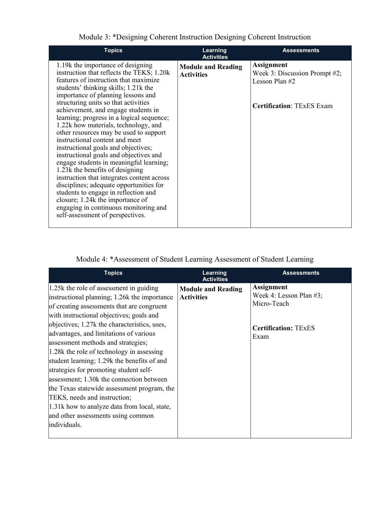| <b>Topics</b>                                                                                                                                                                                                                                                                                                                                                                                                                                                                                                                                                                                                                                                                                                                                                                                                                                                          | Learning<br><b>Activities</b>                  | <b>Assessments</b>                                                                                       |
|------------------------------------------------------------------------------------------------------------------------------------------------------------------------------------------------------------------------------------------------------------------------------------------------------------------------------------------------------------------------------------------------------------------------------------------------------------------------------------------------------------------------------------------------------------------------------------------------------------------------------------------------------------------------------------------------------------------------------------------------------------------------------------------------------------------------------------------------------------------------|------------------------------------------------|----------------------------------------------------------------------------------------------------------|
| 1.19k the importance of designing<br>instruction that reflects the TEKS; 1.20k<br>features of instruction that maximize<br>students' thinking skills; 1.21k the<br>importance of planning lessons and<br>structuring units so that activities<br>achievement, and engage students in<br>learning; progress in a logical sequence;<br>1.22k how materials, technology, and<br>other resources may be used to support<br>instructional content and meet<br>instructional goals and objectives;<br>instructional goals and objectives and<br>engage students in meaningful learning;<br>1.23k the benefits of designing<br>instruction that integrates content across<br>disciplines; adequate opportunities for<br>students to engage in reflection and<br>closure; 1.24k the importance of<br>engaging in continuous monitoring and<br>self-assessment of perspectives. | <b>Module and Reading</b><br><b>Activities</b> | <b>Assignment</b><br>Week 3: Discussion Prompt #2;<br>Lesson Plan #2<br><b>Certification: TExES Exam</b> |

Module 3: \*Designing Coherent Instruction Designing Coherent Instruction

# Module 4: \*Assessment of Student Learning Assessment of Student Learning

| <b>Topics</b>                                                                                                                                                                                                                                                                                                                                                                                                                                                                                                                                                                                                                                                                              | Learning<br><b>Activities</b>                  | <b>Assessments</b>                                                                                 |
|--------------------------------------------------------------------------------------------------------------------------------------------------------------------------------------------------------------------------------------------------------------------------------------------------------------------------------------------------------------------------------------------------------------------------------------------------------------------------------------------------------------------------------------------------------------------------------------------------------------------------------------------------------------------------------------------|------------------------------------------------|----------------------------------------------------------------------------------------------------|
| $1.25k$ the role of assessment in guiding<br>instructional planning; 1.26k the importance<br>of creating assessments that are congruent<br>with instructional objectives; goals and<br>objectives; 1.27k the characteristics, uses,<br>advantages, and limitations of various<br>assessment methods and strategies;<br>1.28k the role of technology in assessing<br>student learning; 1.29k the benefits of and<br>strategies for promoting student self-<br>assessment; 1.30k the connection between<br>the Texas statewide assessment program, the<br>TEKS, needs and instruction;<br>1.31k how to analyze data from local, state,<br>and other assessments using common<br>individuals. | <b>Module and Reading</b><br><b>Activities</b> | <b>Assignment</b><br>Week 4: Lesson Plan #3;<br>Micro-Teach<br><b>Certification: TExES</b><br>Exam |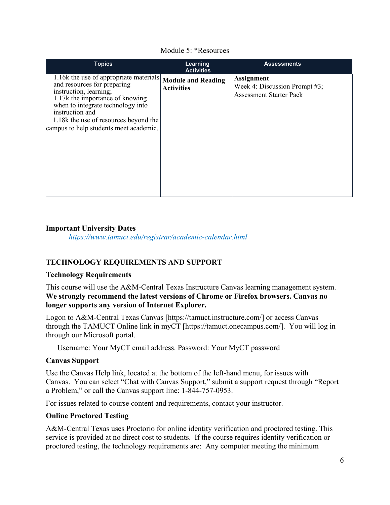| <b>Topics</b>                                                                                                                                                                                                                                                                 | Learning<br><b>Activities</b>                  | <b>Assessments</b>                                                                   |
|-------------------------------------------------------------------------------------------------------------------------------------------------------------------------------------------------------------------------------------------------------------------------------|------------------------------------------------|--------------------------------------------------------------------------------------|
| 1.16k the use of appropriate materials<br>and resources for preparing<br>instruction, learning;<br>1.17k the importance of knowing<br>when to integrate technology into<br>instruction and<br>1.18k the use of resources beyond the<br>campus to help students meet academic. | <b>Module and Reading</b><br><b>Activities</b> | <b>Assignment</b><br>Week 4: Discussion Prompt #3;<br><b>Assessment Starter Pack</b> |

#### Module 5: \*Resources

## **Important University Dates**

*https://www.tamuct.edu/registrar/academic-calendar.html*

## **TECHNOLOGY REQUIREMENTS AND SUPPORT**

## **Technology Requirements**

This course will use the A&M-Central Texas Instructure Canvas learning management system. **We strongly recommend the latest versions of Chrome or Firefox browsers. Canvas no longer supports any version of Internet Explorer.**

Logon to A&M-Central Texas Canvas [https://tamuct.instructure.com/] or access Canvas through the TAMUCT Online link in myCT [https://tamuct.onecampus.com/]. You will log in through our Microsoft portal.

Username: Your MyCT email address. Password: Your MyCT password

## **Canvas Support**

Use the Canvas Help link, located at the bottom of the left-hand menu, for issues with Canvas. You can select "Chat with Canvas Support," submit a support request through "Report a Problem," or call the Canvas support line: 1-844-757-0953.

For issues related to course content and requirements, contact your instructor.

## **Online Proctored Testing**

A&M-Central Texas uses Proctorio for online identity verification and proctored testing. This service is provided at no direct cost to students. If the course requires identity verification or proctored testing, the technology requirements are: Any computer meeting the minimum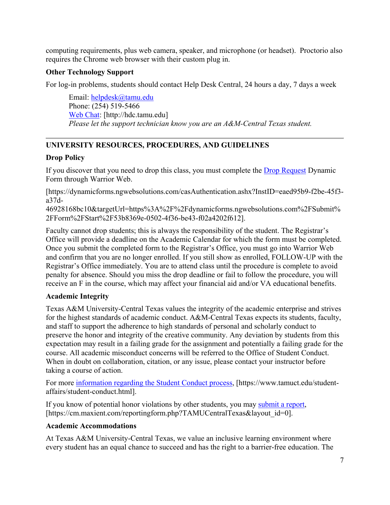computing requirements, plus web camera, speaker, and microphone (or headset). Proctorio also requires the Chrome web browser with their custom plug in.

# **Other Technology Support**

For log-in problems, students should contact Help Desk Central, 24 hours a day, 7 days a week

Email: [helpdesk@tamu.edu](mailto:helpdesk@tamu.edu) Phone: (254) 519-5466 [Web Chat:](http://hdc.tamu.edu/) [http://hdc.tamu.edu] *Please let the support technician know you are an A&M-Central Texas student.*

# **UNIVERSITY RESOURCES, PROCEDURES, AND GUIDELINES**

# **Drop Policy**

If you discover that you need to drop this class, you must complete the [Drop Request](https://dynamicforms.ngwebsolutions.com/casAuthentication.ashx?InstID=eaed95b9-f2be-45f3-a37d-46928168bc10&targetUrl=https%3A%2F%2Fdynamicforms.ngwebsolutions.com%2FSubmit%2FForm%2FStart%2F53b8369e-0502-4f36-be43-f02a4202f612) Dynamic Form through Warrior Web.

[https://dynamicforms.ngwebsolutions.com/casAuthentication.ashx?InstID=eaed95b9-f2be-45f3 a37d-

46928168bc10&targetUrl=https%3A%2F%2Fdynamicforms.ngwebsolutions.com%2FSubmit% 2FForm%2FStart%2F53b8369e-0502-4f36-be43-f02a4202f612].

Faculty cannot drop students; this is always the responsibility of the student. The Registrar's Office will provide a deadline on the Academic Calendar for which the form must be completed. Once you submit the completed form to the Registrar's Office, you must go into Warrior Web and confirm that you are no longer enrolled. If you still show as enrolled, FOLLOW-UP with the Registrar's Office immediately. You are to attend class until the procedure is complete to avoid penalty for absence. Should you miss the drop deadline or fail to follow the procedure, you will receive an F in the course, which may affect your financial aid and/or VA educational benefits.

# **Academic Integrity**

Texas A&M University-Central Texas values the integrity of the academic enterprise and strives for the highest standards of academic conduct. A&M-Central Texas expects its students, faculty, and staff to support the adherence to high standards of personal and scholarly conduct to preserve the honor and integrity of the creative community. Any deviation by students from this expectation may result in a failing grade for the assignment and potentially a failing grade for the course. All academic misconduct concerns will be referred to the Office of Student Conduct. When in doubt on collaboration, citation, or any issue, please contact your instructor before taking a course of action.

For more [information](https://nam04.safelinks.protection.outlook.com/?url=https%3A%2F%2Fwww.tamuct.edu%2Fstudent-affairs%2Fstudent-conduct.html&data=04%7C01%7Clisa.bunkowski%40tamuct.edu%7Ccfb6e486f24745f53e1a08d910055cb2%7C9eed4e3000f744849ff193ad8005acec%7C0%7C0%7C637558437485252160%7CUnknown%7CTWFpbGZsb3d8eyJWIjoiMC4wLjAwMDAiLCJQIjoiV2luMzIiLCJBTiI6Ik1haWwiLCJXVCI6Mn0%3D%7C1000&sdata=yjftDEVHvLX%2FhM%2FcFU0B99krV1RgEWR%2BJ%2BhvtoR6TYk%3D&reserved=0) regarding the Student Conduct process, [https://www.tamuct.edu/studentaffairs/student-conduct.html].

If you know of potential honor violations by other students, you may [submit](https://nam04.safelinks.protection.outlook.com/?url=https%3A%2F%2Fcm.maxient.com%2Freportingform.php%3FTAMUCentralTexas%26layout_id%3D0&data=04%7C01%7Clisa.bunkowski%40tamuct.edu%7Ccfb6e486f24745f53e1a08d910055cb2%7C9eed4e3000f744849ff193ad8005acec%7C0%7C0%7C637558437485262157%7CUnknown%7CTWFpbGZsb3d8eyJWIjoiMC4wLjAwMDAiLCJQIjoiV2luMzIiLCJBTiI6Ik1haWwiLCJXVCI6Mn0%3D%7C1000&sdata=CXGkOa6uPDPX1IMZ87z3aZDq2n91xfHKu4MMS43Ejjk%3D&reserved=0) a report, [https://cm.maxient.com/reportingform.php?TAMUCentralTexas&layout\_id=0].

## **Academic Accommodations**

At Texas A&M University-Central Texas, we value an inclusive learning environment where every student has an equal chance to succeed and has the right to a barrier-free education. The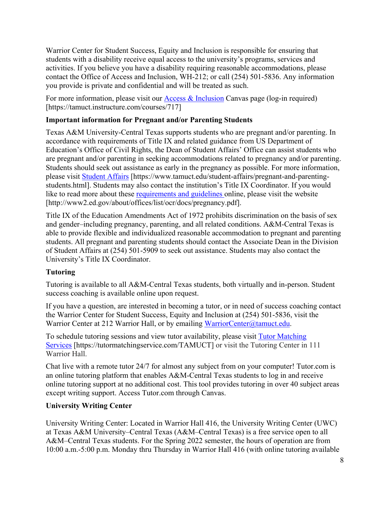Warrior Center for Student Success, Equity and Inclusion is responsible for ensuring that students with a disability receive equal access to the university's programs, services and activities. If you believe you have a disability requiring reasonable accommodations, please contact the Office of Access and Inclusion, WH-212; or call (254) 501-5836. Any information you provide is private and confidential and will be treated as such.

For more information, please visit our [Access & Inclusion](https://tamuct.instructure.com/courses/717) Canvas page (log-in required) [https://tamuct.instructure.com/courses/717]

# **Important information for Pregnant and/or Parenting Students**

Texas A&M University-Central Texas supports students who are pregnant and/or parenting. In accordance with requirements of Title IX and related guidance from US Department of Education's Office of Civil Rights, the Dean of Student Affairs' Office can assist students who are pregnant and/or parenting in seeking accommodations related to pregnancy and/or parenting. Students should seek out assistance as early in the pregnancy as possible. For more information, please visit [Student Affairs](https://www.tamuct.edu/student-affairs/pregnant-and-parenting-students.html) [https://www.tamuct.edu/student-affairs/pregnant-and-parentingstudents.html]. Students may also contact the institution's Title IX Coordinator. If you would like to read more about these [requirements and guidelines](http://www2.ed.gov/about/offices/list/ocr/docs/pregnancy.pdf) online, please visit the website [http://www2.ed.gov/about/offices/list/ocr/docs/pregnancy.pdf].

Title IX of the Education Amendments Act of 1972 prohibits discrimination on the basis of sex and gender–including pregnancy, parenting, and all related conditions. A&M-Central Texas is able to provide flexible and individualized reasonable accommodation to pregnant and parenting students. All pregnant and parenting students should contact the Associate Dean in the Division of Student Affairs at (254) 501-5909 to seek out assistance. Students may also contact the University's Title IX Coordinator.

# **Tutoring**

Tutoring is available to all A&M-Central Texas students, both virtually and in-person. Student success coaching is available online upon request.

If you have a question, are interested in becoming a tutor, or in need of success coaching contact the Warrior Center for Student Success, Equity and Inclusion at (254) 501-5836, visit the Warrior Center at 212 Warrior Hall, or by emailing [WarriorCenter@tamuct.edu.](mailto:WarriorCenter@tamuct.edu)

To schedule tutoring sessions and view tutor availability, please visit Tutor [Matching](https://tutormatchingservice.com/TAMUCT) [Services](https://tutormatchingservice.com/TAMUCT) [https://tutormatchingservice.com/TAMUCT] or visit the Tutoring Center in 111 Warrior Hall.

Chat live with a remote tutor 24/7 for almost any subject from on your computer! Tutor.com is an online tutoring platform that enables A&M-Central Texas students to log in and receive online tutoring support at no additional cost. This tool provides tutoring in over 40 subject areas except writing support. Access Tutor.com through Canvas.

## **University Writing Center**

University Writing Center: Located in Warrior Hall 416, the University Writing Center (UWC) at Texas A&M University–Central Texas (A&M–Central Texas) is a free service open to all A&M–Central Texas students. For the Spring 2022 semester, the hours of operation are from 10:00 a.m.-5:00 p.m. Monday thru Thursday in Warrior Hall 416 (with online tutoring available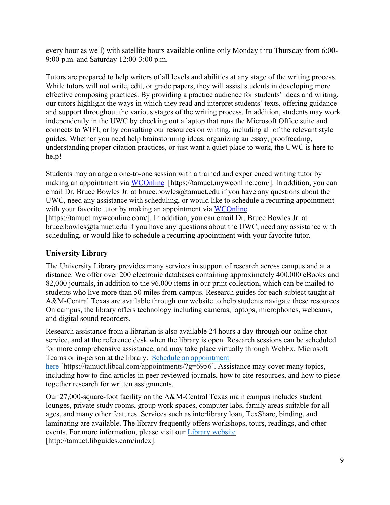every hour as well) with satellite hours available online only Monday thru Thursday from 6:00- 9:00 p.m. and Saturday 12:00-3:00 p.m.

Tutors are prepared to help writers of all levels and abilities at any stage of the writing process. While tutors will not write, edit, or grade papers, they will assist students in developing more effective composing practices. By providing a practice audience for students' ideas and writing, our tutors highlight the ways in which they read and interpret students' texts, offering guidance and support throughout the various stages of the writing process. In addition, students may work independently in the UWC by checking out a laptop that runs the Microsoft Office suite and connects to WIFI, or by consulting our resources on writing, including all of the relevant style guides. Whether you need help brainstorming ideas, organizing an essay, proofreading, understanding proper citation practices, or just want a quiet place to work, the UWC is here to help!

Students may arrange a one-to-one session with a trained and experienced writing tutor by making an appointment via [WCOnline](https://tamuct.mywconline.com/) [https://tamuct.mywconline.com/]. In addition, you can email Dr. Bruce Bowles Jr. at bruce.bowles  $@$ tamuct.edu if you have any questions about the UWC, need any assistance with scheduling, or would like to schedule a recurring appointment with your favorite tutor by making an appointment via [WCOnline](https://tamuct.mywconline.com/)

[https://tamuct.mywconline.com/]. In addition, you can email Dr. Bruce Bowles Jr. at bruce.bowles@tamuct.edu if you have any questions about the UWC, need any assistance with scheduling, or would like to schedule a recurring appointment with your favorite tutor.

# **University Library**

The University Library provides many services in support of research across campus and at a distance. We offer over 200 electronic databases containing approximately 400,000 eBooks and 82,000 journals, in addition to the 96,000 items in our print collection, which can be mailed to students who live more than 50 miles from campus. Research guides for each subject taught at A&M-Central Texas are available through our website to help students navigate these resources. On campus, the library offers technology including cameras, laptops, microphones, webcams, and digital sound recorders.

Research assistance from a librarian is also available 24 hours a day through our online chat service, and at the reference desk when the library is open. Research sessions can be scheduled for more comprehensive assistance, and may take place virtually through WebEx, Microsoft Teams or in-person at the library. Schedule an [appointment](https://nam04.safelinks.protection.outlook.com/?url=https%3A%2F%2Ftamuct.libcal.com%2Fappointments%2F%3Fg%3D6956&data=04%7C01%7Clisa.bunkowski%40tamuct.edu%7Cde2c07d9f5804f09518008d9ab7ba6ff%7C9eed4e3000f744849ff193ad8005acec%7C0%7C0%7C637729369835011558%7CUnknown%7CTWFpbGZsb3d8eyJWIjoiMC4wLjAwMDAiLCJQIjoiV2luMzIiLCJBTiI6Ik1haWwiLCJXVCI6Mn0%3D%7C3000&sdata=KhtjgRSAw9aq%2FoBsB6wyu8b7PSuGN5EGPypzr3Ty2No%3D&reserved=0) [here](https://nam04.safelinks.protection.outlook.com/?url=https%3A%2F%2Ftamuct.libcal.com%2Fappointments%2F%3Fg%3D6956&data=04%7C01%7Clisa.bunkowski%40tamuct.edu%7Cde2c07d9f5804f09518008d9ab7ba6ff%7C9eed4e3000f744849ff193ad8005acec%7C0%7C0%7C637729369835011558%7CUnknown%7CTWFpbGZsb3d8eyJWIjoiMC4wLjAwMDAiLCJQIjoiV2luMzIiLCJBTiI6Ik1haWwiLCJXVCI6Mn0%3D%7C3000&sdata=KhtjgRSAw9aq%2FoBsB6wyu8b7PSuGN5EGPypzr3Ty2No%3D&reserved=0) [https://tamuct.libcal.com/appointments/?g=6956]. Assistance may cover many topics, including how to find articles in peer-reviewed journals, how to cite resources, and how to piece together research for written assignments.

Our 27,000-square-foot facility on the A&M-Central Texas main campus includes student lounges, private study rooms, group work spaces, computer labs, family areas suitable for all ages, and many other features. Services such as interlibrary loan, TexShare, binding, and laminating are available. The library frequently offers workshops, tours, readings, and other events. For more information, please visit our Library [website](https://nam04.safelinks.protection.outlook.com/?url=https%3A%2F%2Ftamuct.libguides.com%2Findex&data=04%7C01%7Clisa.bunkowski%40tamuct.edu%7C7d8489e8839a4915335f08d916f067f2%7C9eed4e3000f744849ff193ad8005acec%7C0%7C0%7C637566044056484222%7CUnknown%7CTWFpbGZsb3d8eyJWIjoiMC4wLjAwMDAiLCJQIjoiV2luMzIiLCJBTiI6Ik1haWwiLCJXVCI6Mn0%3D%7C1000&sdata=2R755V6rcIyedGrd4Os5rkgn1PvhHKU3kUV1vBKiHFo%3D&reserved=0) [http://tamuct.libguides.com/index].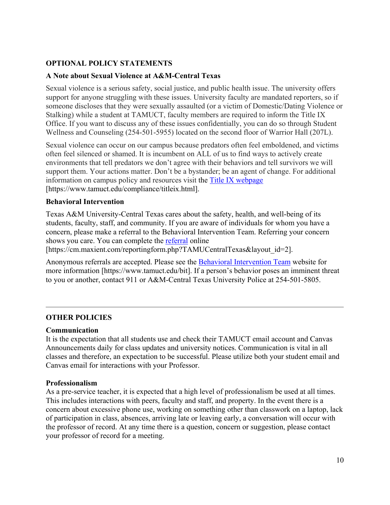# **OPTIONAL POLICY STATEMENTS**

#### **A Note about Sexual Violence at A&M-Central Texas**

Sexual violence is a serious safety, social justice, and public health issue. The university offers support for anyone struggling with these issues. University faculty are mandated reporters, so if someone discloses that they were sexually assaulted (or a victim of Domestic/Dating Violence or Stalking) while a student at TAMUCT, faculty members are required to inform the Title IX Office. If you want to discuss any of these issues confidentially, you can do so through Student Wellness and Counseling (254-501-5955) located on the second floor of Warrior Hall (207L).

Sexual violence can occur on our campus because predators often feel emboldened, and victims often feel silenced or shamed. It is incumbent on ALL of us to find ways to actively create environments that tell predators we don't agree with their behaviors and tell survivors we will support them. Your actions matter. Don't be a bystander; be an agent of change. For additional information on campus policy and resources visit the [Title IX webpage](https://www.tamuct.edu/compliance/titleix.html) [\[https://www.tamuct.edu/compliance/titleix.html\]](https://www.tamuct.edu/compliance/titleix.html).

#### **Behavioral Intervention**

Texas A&M University-Central Texas cares about the safety, health, and well-being of its students, faculty, staff, and community. If you are aware of individuals for whom you have a concern, please make a referral to the Behavioral Intervention Team. Referring your concern shows you care. You can complete the [referral](https://cm.maxient.com/reportingform.php?TAMUCentralTexas&layout_id=2) online

[https://cm.maxient.com/reportingform.php?TAMUCentralTexas&layout\_id=2].

Anonymous referrals are accepted. Please see the [Behavioral Intervention Team](https://www.tamuct.edu/bit) website for more information [https://www.tamuct.edu/bit]. If a person's behavior poses an imminent threat to you or another, contact 911 or A&M-Central Texas University Police at 254-501-5805.

## **OTHER POLICIES**

#### **Communication**

It is the expectation that all students use and check their TAMUCT email account and Canvas Announcements daily for class updates and university notices. Communication is vital in all classes and therefore, an expectation to be successful. Please utilize both your student email and Canvas email for interactions with your Professor.

#### **Professionalism**

As a pre-service teacher, it is expected that a high level of professionalism be used at all times. This includes interactions with peers, faculty and staff, and property. In the event there is a concern about excessive phone use, working on something other than classwork on a laptop, lack of participation in class, absences, arriving late or leaving early, a conversation will occur with the professor of record. At any time there is a question, concern or suggestion, please contact your professor of record for a meeting.